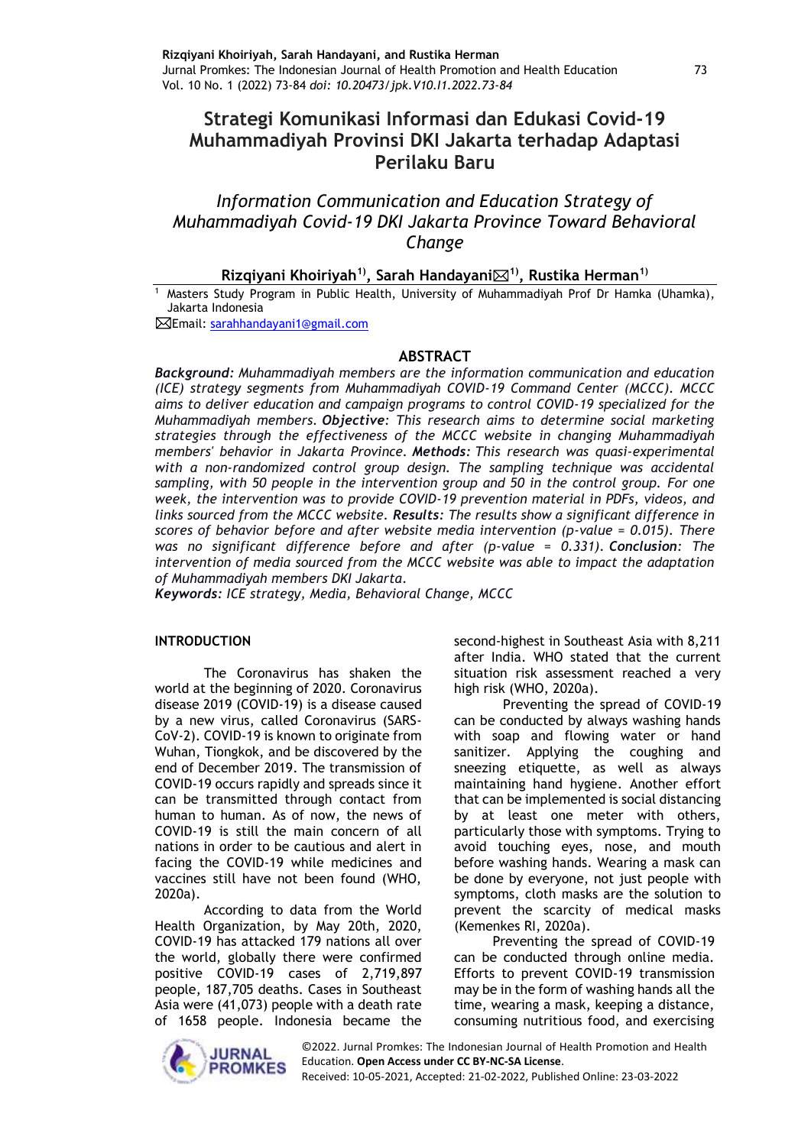# **Strategi Komunikasi Informasi dan Edukasi Covid-19 Muhammadiyah Provinsi DKI Jakarta terhadap Adaptasi Perilaku Baru**

# *Information Communication and Education Strategy of Muhammadiyah Covid-19 DKI Jakarta Province Toward Behavioral Change*

### **Rizqiyani Khoiriyah1), Sarah Handayani1) , Rustika Herman1)**

Masters Study Program in Public Health, University of Muhammadiyah Prof Dr Hamka (Uhamka), Jakarta Indonesia

Email: [sarahhandayani1@gmail.com](mailto:sarahhandayani1@gmail.com) 

### **ABSTRACT**

*Background: Muhammadiyah members are the information communication and education (ICE) strategy segments from Muhammadiyah COVID-19 Command Center (MCCC). MCCC aims to deliver education and campaign programs to control COVID-19 specialized for the Muhammadiyah members. Objective: This research aims to determine social marketing strategies through the effectiveness of the MCCC website in changing Muhammadiyah members' behavior in Jakarta Province. Methods: This research was quasi-experimental with a non-randomized control group design. The sampling technique was accidental sampling, with 50 people in the intervention group and 50 in the control group. For one week, the intervention was to provide COVID-19 prevention material in PDFs, videos, and links sourced from the MCCC website. Results: The results show a significant difference in scores of behavior before and after website media intervention (p-value = 0.015). There was no significant difference before and after (p-value = 0.331). Conclusion: The intervention of media sourced from the MCCC website was able to impact the adaptation of Muhammadiyah members DKI Jakarta*.

*Keywords: ICE strategy, Media, Behavioral Change, MCCC*

#### **INTRODUCTION**

The Coronavirus has shaken the world at the beginning of 2020. Coronavirus disease 2019 (COVID-19) is a disease caused by a new virus, called Coronavirus (SARS-CoV-2). COVID-19 is known to originate from Wuhan, Tiongkok, and be discovered by the end of December 2019. The transmission of COVID-19 occurs rapidly and spreads since it can be transmitted through contact from human to human. As of now, the news of COVID-19 is still the main concern of all nations in order to be cautious and alert in facing the COVID-19 while medicines and vaccines still have not been found (WHO, 2020a).

According to data from the World Health Organization, by May 20th, 2020, COVID-19 has attacked 179 nations all over the world, globally there were confirmed positive COVID-19 cases of 2,719,897 people, 187,705 deaths. Cases in Southeast Asia were (41,073) people with a death rate of 1658 people. Indonesia became the second-highest in Southeast Asia with 8,211 after India. WHO stated that the current situation risk assessment reached a very high risk (WHO, 2020a).

Preventing the spread of COVID-19 can be conducted by always washing hands with soap and flowing water or hand sanitizer. Applying the coughing and sneezing etiquette, as well as always maintaining hand hygiene. Another effort that can be implemented is social distancing by at least one meter with others, particularly those with symptoms. Trying to avoid touching eyes, nose, and mouth before washing hands. Wearing a mask can be done by everyone, not just people with symptoms, cloth masks are the solution to prevent the scarcity of medical masks (Kemenkes RI, 2020a).

Preventing the spread of COVID-19 can be conducted through online media. Efforts to prevent COVID-19 transmission may be in the form of washing hands all the time, wearing a mask, keeping a distance, consuming nutritious food, and exercising



©2022. Jurnal Promkes: The Indonesian Journal of Health Promotion and Health Education. **Open Access under CC BY-NC-SA License**.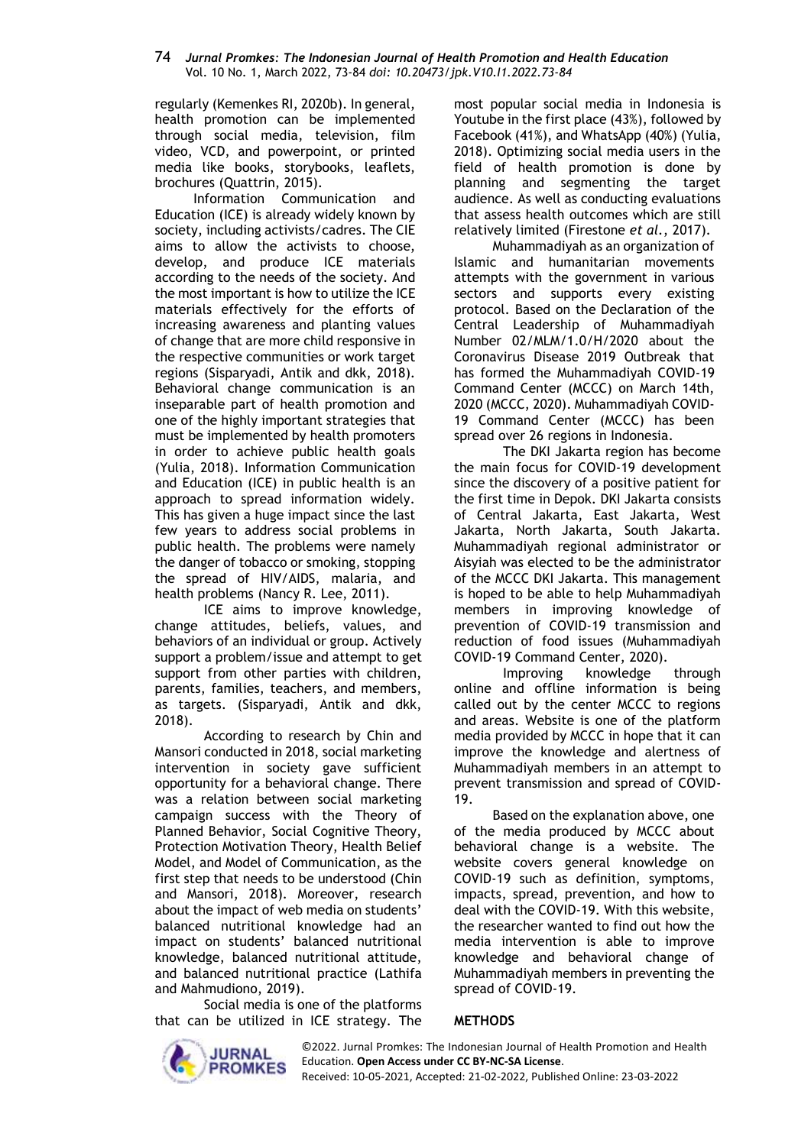regularly (Kemenkes RI, 2020b). In general, health promotion can be implemented through social media, television, film video, VCD, and powerpoint, or printed media like books, storybooks, leaflets, brochures (Quattrin, 2015).

Information Communication and Education (ICE) is already widely known by society, including activists/cadres. The CIE aims to allow the activists to choose, develop, and produce ICE materials according to the needs of the society. And the most important is how to utilize the ICE materials effectively for the efforts of increasing awareness and planting values of change that are more child responsive in the respective communities or work target regions (Sisparyadi, Antik and dkk, 2018). Behavioral change communication is an inseparable part of health promotion and one of the highly important strategies that must be implemented by health promoters in order to achieve public health goals (Yulia, 2018). Information Communication and Education (ICE) in public health is an approach to spread information widely. This has given a huge impact since the last few years to address social problems in public health. The problems were namely the danger of tobacco or smoking, stopping the spread of HIV/AIDS, malaria, and health problems (Nancy R. Lee, 2011).

ICE aims to improve knowledge, change attitudes, beliefs, values, and behaviors of an individual or group. Actively support a problem/issue and attempt to get support from other parties with children, parents, families, teachers, and members, as targets. (Sisparyadi, Antik and dkk, 2018).

According to research by Chin and Mansori conducted in 2018, social marketing intervention in society gave sufficient opportunity for a behavioral change. There was a relation between social marketing campaign success with the Theory of Planned Behavior, Social Cognitive Theory, Protection Motivation Theory, Health Belief Model, and Model of Communication, as the first step that needs to be understood (Chin and Mansori, 2018). Moreover, research about the impact of web media on students' balanced nutritional knowledge had an impact on students' balanced nutritional knowledge, balanced nutritional attitude, and balanced nutritional practice (Lathifa and Mahmudiono, 2019).

Social media is one of the platforms that can be utilized in ICE strategy. The most popular social media in Indonesia is Youtube in the first place (43%), followed by Facebook (41%), and WhatsApp (40%) (Yulia, 2018). Optimizing social media users in the field of health promotion is done by planning and segmenting the target audience. As well as conducting evaluations that assess health outcomes which are still relatively limited (Firestone *et al.*, 2017).

Muhammadiyah as an organization of Islamic and humanitarian movements attempts with the government in various sectors and supports every existing protocol. Based on the Declaration of the Central Leadership of Muhammadiyah Number 02/MLM/1.0/H/2020 about the Coronavirus Disease 2019 Outbreak that has formed the Muhammadiyah COVID-19 Command Center (MCCC) on March 14th, 2020 (MCCC, 2020). Muhammadiyah COVID-19 Command Center (MCCC) has been spread over 26 regions in Indonesia.

The DKI Jakarta region has become the main focus for COVID-19 development since the discovery of a positive patient for the first time in Depok. DKI Jakarta consists of Central Jakarta, East Jakarta, West Jakarta, North Jakarta, South Jakarta. Muhammadiyah regional administrator or Aisyiah was elected to be the administrator of the MCCC DKI Jakarta. This management is hoped to be able to help Muhammadiyah members in improving knowledge of prevention of COVID-19 transmission and reduction of food issues (Muhammadiyah COVID-19 Command Center, 2020).

Improving knowledge through online and offline information is being called out by the center MCCC to regions and areas. Website is one of the platform media provided by MCCC in hope that it can improve the knowledge and alertness of Muhammadiyah members in an attempt to prevent transmission and spread of COVID-19.

Based on the explanation above, one of the media produced by MCCC about behavioral change is a website. The website covers general knowledge on COVID-19 such as definition, symptoms, impacts, spread, prevention, and how to deal with the COVID-19. With this website, the researcher wanted to find out how the media intervention is able to improve knowledge and behavioral change of Muhammadiyah members in preventing the spread of COVID-19.

### **METHODS**

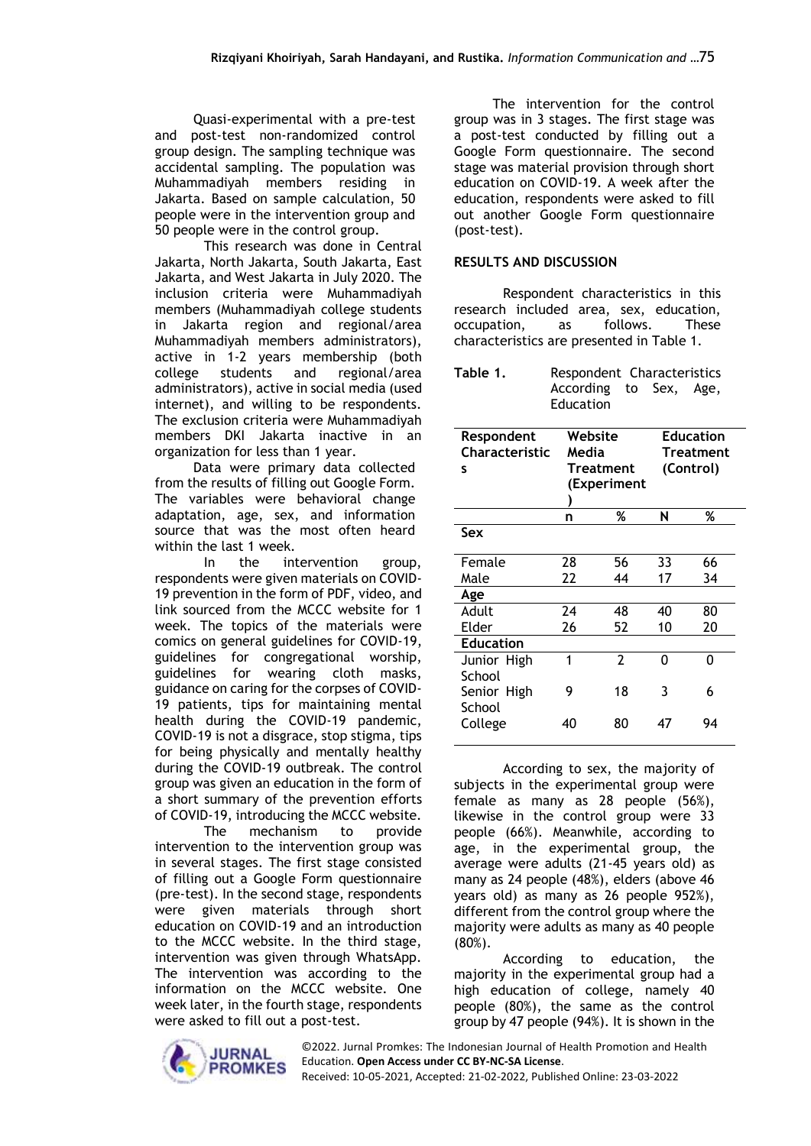Quasi-experimental with a pre-test and post-test non-randomized control group design. The sampling technique was accidental sampling. The population was Muhammadiyah members residing in Jakarta. Based on sample calculation, 50 people were in the intervention group and 50 people were in the control group.

This research was done in Central Jakarta, North Jakarta, South Jakarta, East Jakarta, and West Jakarta in July 2020. The inclusion criteria were Muhammadiyah members (Muhammadiyah college students in Jakarta region and regional/area Muhammadiyah members administrators), active in 1-2 years membership (both college students and regional/area administrators), active in social media (used internet), and willing to be respondents. The exclusion criteria were Muhammadiyah members DKI Jakarta inactive in an organization for less than 1 year.

Data were primary data collected from the results of filling out Google Form. The variables were behavioral change adaptation, age, sex, and information source that was the most often heard within the last 1 week.

In the intervention group, respondents were given materials on COVID-19 prevention in the form of PDF, video, and link sourced from the MCCC website for 1 week. The topics of the materials were comics on general guidelines for COVID-19, guidelines for congregational worship, guidelines for wearing cloth masks, guidance on caring for the corpses of COVID-19 patients, tips for maintaining mental health during the COVID-19 pandemic, COVID-19 is not a disgrace, stop stigma, tips for being physically and mentally healthy during the COVID-19 outbreak. The control group was given an education in the form of a short summary of the prevention efforts of COVID-19, introducing the MCCC website.

The mechanism to provide intervention to the intervention group was in several stages. The first stage consisted of filling out a Google Form questionnaire (pre-test). In the second stage, respondents were given materials through short education on COVID-19 and an introduction to the MCCC website. In the third stage, intervention was given through WhatsApp. The intervention was according to the information on the MCCC website. One week later, in the fourth stage, respondents were asked to fill out a post-test.

The intervention for the control group was in 3 stages. The first stage was a post-test conducted by filling out a Google Form questionnaire. The second stage was material provision through short education on COVID-19. A week after the education, respondents were asked to fill out another Google Form questionnaire (post-test).

## **RESULTS AND DISCUSSION**

Respondent characteristics in this research included area, sex, education, occupation, as follows. These characteristics are presented in Table 1.

| Table 1. | Respondent Characteristics |  |  |  |  |  |
|----------|----------------------------|--|--|--|--|--|
|          | According to Sex, Age,     |  |  |  |  |  |
|          | Education                  |  |  |  |  |  |

| Respondent<br><b>Characteristic</b><br>s | Media | Website<br><b>Treatment</b><br>(Experiment |    | <b>Education</b><br>Treatment<br>(Control) |
|------------------------------------------|-------|--------------------------------------------|----|--------------------------------------------|
|                                          | n     | %                                          | N  | %                                          |
| Sex                                      |       |                                            |    |                                            |
| Female                                   | 28    | 56                                         | 33 | 66                                         |
| Male                                     | 22    | 44                                         | 17 | 34                                         |
| Age                                      |       |                                            |    |                                            |
| Adult                                    | 74    | 48                                         | 40 | 80                                         |
| Elder                                    | 26    | 52                                         | 10 | 20                                         |
| <b>Education</b>                         |       |                                            |    |                                            |
| Junior High<br>School                    | 1     | $\overline{2}$                             | 0  | O                                          |
| Senior High<br>School                    | 9     | 18                                         | 3  | 6                                          |
| College                                  | 40    | 80                                         | 47 | 94                                         |

According to sex, the majority of subjects in the experimental group were female as many as 28 people (56%), likewise in the control group were 33 people (66%). Meanwhile, according to age, in the experimental group, the average were adults (21-45 years old) as many as 24 people (48%), elders (above 46 years old) as many as 26 people 952%), different from the control group where the majority were adults as many as 40 people (80%).

According to education, the majority in the experimental group had a high education of college, namely 40 people (80%), the same as the control group by 47 people (94%). It is shown in the



©2022. Jurnal Promkes: The Indonesian Journal of Health Promotion and Health Education. **Open Access under CC BY-NC-SA License**.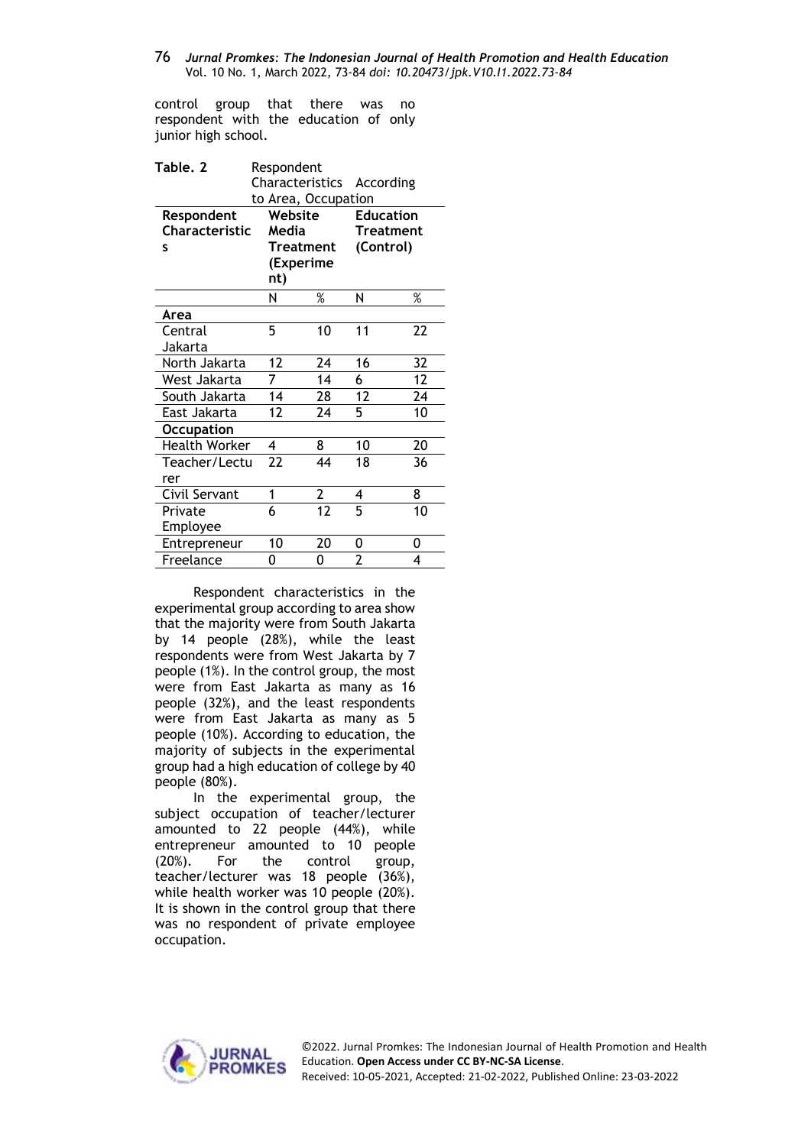control group that there was no respondent with the education of only junior high school.

| Table. 2             | Respondent |                     |                  |                  |  |
|----------------------|------------|---------------------|------------------|------------------|--|
|                      |            | Characteristics     | According        |                  |  |
|                      |            | to Area, Occupation |                  |                  |  |
| Respondent           | Website    |                     | <b>Education</b> |                  |  |
| Characteristic       | Media      |                     |                  | <b>Treatment</b> |  |
| s                    |            | <b>Treatment</b>    | (Control)        |                  |  |
|                      |            | (Experime           |                  |                  |  |
|                      | nt)        |                     |                  |                  |  |
|                      | Ν          | %                   | Ν                | %                |  |
| Area                 |            |                     |                  |                  |  |
| Central              | 5          | 10                  | 11               | 22               |  |
| Jakarta              |            |                     |                  |                  |  |
| North Jakarta        | 12         | 24                  | 16               | 32               |  |
| West Jakarta         | 7          | 14                  | 6                | 12               |  |
| South Jakarta        | 14         | 28                  | 12               | 24               |  |
| East Jakarta         | 12         | 24                  | 5                | 10               |  |
| <b>Occupation</b>    |            |                     |                  |                  |  |
| <b>Health Worker</b> | 4          | 8                   | 10               | 20               |  |
| Teacher/Lectu        | 22         | 44                  | 18               | 36               |  |
| rer                  |            |                     |                  |                  |  |
| Civil Servant        | 1          | $\overline{2}$      | 4                | 8                |  |
| Private              | 6          | 12                  | 5                | 10               |  |
| Employee             |            |                     |                  |                  |  |
| Entrepreneur         | 10         | 20                  | 0                | 0                |  |
| Freelance            | 0          | 0                   | $\overline{2}$   | 4                |  |

Respondent characteristics in the experimental group according to area show that the majority were from South Jakarta by 14 people (28%), while the least respondents were from West Jakarta by 7 people (1%). In the control group, the most were from East Jakarta as many as 16 people (32%), and the least respondents were from East Jakarta as many as 5 people (10%). According to education, the majority of subjects in the experimental group had a high education of college by 40 people (80%).

In the experimental group, the subject occupation of teacher/lecturer amounted to 22 people (44%), while entrepreneur amounted to 10 people (20%). For the control group, teacher/lecturer was 18 people (36%), while health worker was 10 people (20%). It is shown in the control group that there was no respondent of private employee occupation.

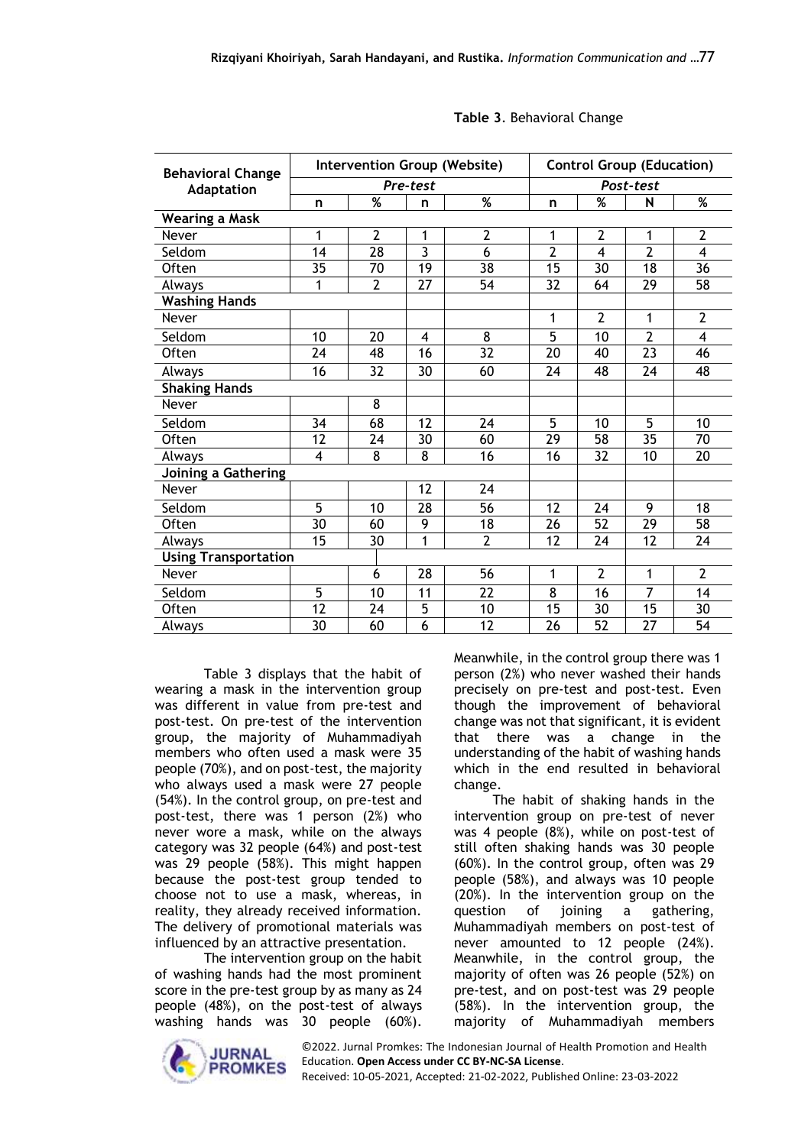| <b>Behavioral Change</b>    | Intervention Group (Website) |                |                |                |                 | <b>Control Group (Education)</b> |                |                         |  |
|-----------------------------|------------------------------|----------------|----------------|----------------|-----------------|----------------------------------|----------------|-------------------------|--|
| Adaptation                  |                              | Pre-test       |                |                |                 | Post-test                        |                |                         |  |
|                             | n                            | %              | n              | %              | n               | %                                | N              | %                       |  |
| <b>Wearing a Mask</b>       |                              |                |                |                |                 |                                  |                |                         |  |
| Never                       | 1                            | $\overline{2}$ | 1              | $\overline{2}$ | 1               | $\overline{2}$                   | 1              | $\overline{2}$          |  |
| Seldom                      | 14                           | 28             | $\overline{3}$ | 6              | $\overline{2}$  | $\overline{\mathbf{A}}$          | $\overline{2}$ | $\overline{\mathbf{4}}$ |  |
| <b>Often</b>                | 35                           | 70             | 19             | 38             | 15              | 30                               | 18             | 36                      |  |
| Always                      | 1                            | $\overline{2}$ | 27             | 54             | 32              | 64                               | 29             | 58                      |  |
| <b>Washing Hands</b>        |                              |                |                |                |                 |                                  |                |                         |  |
| Never                       |                              |                |                |                | 1               | $\overline{2}$                   | 1              | $\overline{2}$          |  |
| Seldom                      | 10                           | 20             | 4              | $\overline{8}$ | $\overline{5}$  | 10                               | $\overline{2}$ | 4                       |  |
| Often                       | 24                           | 48             | 16             | 32             | 20              | 40                               | 23             | 46                      |  |
| Always                      | 16                           | 32             | 30             | 60             | 24              | 48                               | 24             | 48                      |  |
| <b>Shaking Hands</b>        |                              |                |                |                |                 |                                  |                |                         |  |
| Never                       |                              | 8              |                |                |                 |                                  |                |                         |  |
| Seldom                      | 34                           | 68             | 12             | 24             | 5               | 10                               | 5              | 10                      |  |
| <b>Often</b>                | $\overline{12}$              | 24             | 30             | 60             | $\overline{29}$ | 58                               | 35             | 70                      |  |
| Always                      | $\overline{4}$               | 8              | 8              | 16             | 16              | 32                               | 10             | 20                      |  |
| Joining a Gathering         |                              |                |                |                |                 |                                  |                |                         |  |
| Never                       |                              |                | 12             | 24             |                 |                                  |                |                         |  |
| Seldom                      | 5                            | 10             | 28             | 56             | 12              | 24                               | 9              | 18                      |  |
| Often                       | $\overline{30}$              | 60             | 9              | 18             | 26              | 52                               | 29             | 58                      |  |
| Always                      | 15                           | 30             | 1              | $\overline{2}$ | 12              | 24                               | 12             | 24                      |  |
| <b>Using Transportation</b> |                              |                |                |                |                 |                                  |                |                         |  |
| Never                       |                              | 6              | 28             | 56             | 1               | $\overline{2}$                   | 1              | $\overline{2}$          |  |
| Seldom                      | $\overline{5}$               | 10             | 11             | 22             | 8               | 16                               | 7              | 14                      |  |
| Often                       | 12                           | 24             | 5              | 10             | 15              | 30                               | 15             | 30                      |  |
| Always                      | 30                           | 60             | 6              | 12             | 26              | 52                               | 27             | 54                      |  |

### **Table 3**. Behavioral Change

Table 3 displays that the habit of wearing a mask in the intervention group was different in value from pre-test and post-test. On pre-test of the intervention group, the majority of Muhammadiyah members who often used a mask were 35 people (70%), and on post-test, the majority who always used a mask were 27 people (54%). In the control group, on pre-test and post-test, there was 1 person (2%) who never wore a mask, while on the always category was 32 people (64%) and post-test was 29 people (58%). This might happen because the post-test group tended to choose not to use a mask, whereas, in reality, they already received information. The delivery of promotional materials was influenced by an attractive presentation.

The intervention group on the habit of washing hands had the most prominent score in the pre-test group by as many as 24 people (48%), on the post-test of always washing hands was 30 people (60%).

Meanwhile, in the control group there was 1 person (2%) who never washed their hands precisely on pre-test and post-test. Even though the improvement of behavioral change was not that significant, it is evident that there was a change in the understanding of the habit of washing hands which in the end resulted in behavioral change.

The habit of shaking hands in the intervention group on pre-test of never was 4 people (8%), while on post-test of still often shaking hands was 30 people (60%). In the control group, often was 29 people (58%), and always was 10 people (20%). In the intervention group on the question of joining a gathering, Muhammadiyah members on post-test of never amounted to 12 people (24%). Meanwhile, in the control group, the majority of often was 26 people (52%) on pre-test, and on post-test was 29 people (58%). In the intervention group, the majority of Muhammadiyah members



©2022. Jurnal Promkes: The Indonesian Journal of Health Promotion and Health Education. **Open Access under CC BY-NC-SA License**.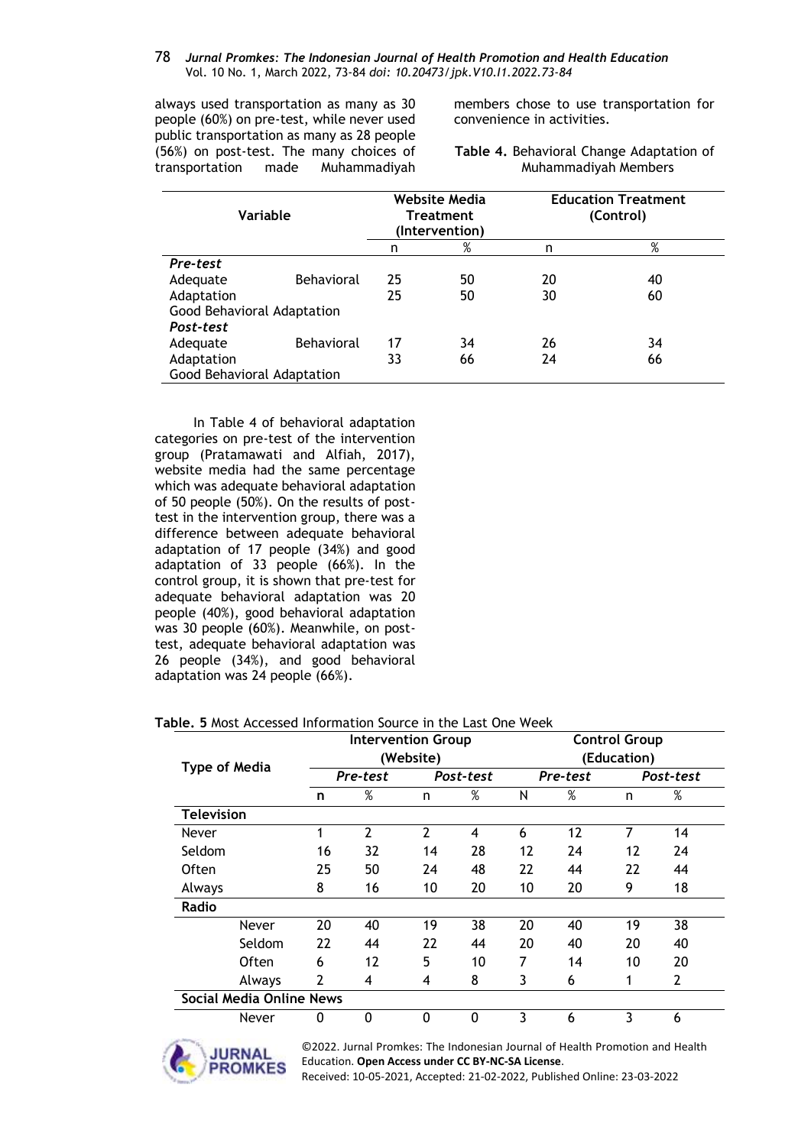always used transportation as many as 30 people (60%) on pre-test, while never used public transportation as many as 28 people (56%) on post-test. The many choices of transportation made Muhammadiyah members chose to use transportation for convenience in activities.

**Table 4.** Behavioral Change Adaptation of Muhammadiyah Members

| Variable                   |                   |    | <b>Website Media</b><br><b>Treatment</b><br>(Intervention) | <b>Education Treatment</b><br>(Control) |    |  |
|----------------------------|-------------------|----|------------------------------------------------------------|-----------------------------------------|----|--|
|                            |                   | n  | %                                                          | n                                       | %  |  |
| Pre-test                   |                   |    |                                                            |                                         |    |  |
| Adequate                   | Behavioral        | 25 | 50                                                         | 20                                      | 40 |  |
| Adaptation                 |                   | 25 | 50                                                         | 30                                      | 60 |  |
| Good Behavioral Adaptation |                   |    |                                                            |                                         |    |  |
| Post-test                  |                   |    |                                                            |                                         |    |  |
| Adequate                   | <b>Behavioral</b> | 17 | 34                                                         | 26                                      | 34 |  |
| Adaptation                 |                   | 33 | 66                                                         | 24                                      | 66 |  |
| Good Behavioral Adaptation |                   |    |                                                            |                                         |    |  |

In Table 4 of behavioral adaptation categories on pre-test of the intervention group (Pratamawati and Alfiah, 2017), website media had the same percentage which was adequate behavioral adaptation of 50 people (50%). On the results of posttest in the intervention group, there was a difference between adequate behavioral adaptation of 17 people (34%) and good adaptation of 33 people (66%). In the control group, it is shown that pre-test for adequate behavioral adaptation was 20 people (40%), good behavioral adaptation was 30 people (60%). Meanwhile, on posttest, adequate behavioral adaptation was 26 people (34%), and good behavioral adaptation was 24 people (66%).

|                                 |                      |    | <b>Intervention Group</b> |    |           | <b>Control Group</b> |             |    |                |  |
|---------------------------------|----------------------|----|---------------------------|----|-----------|----------------------|-------------|----|----------------|--|
|                                 | <b>Type of Media</b> |    | (Website)                 |    |           |                      | (Education) |    |                |  |
|                                 |                      |    | Pre-test                  |    | Post-test |                      | Pre-test    |    | Post-test      |  |
|                                 |                      | n  | %                         | n  | %         | N                    | %           | n  | %              |  |
| <b>Television</b>               |                      |    |                           |    |           |                      |             |    |                |  |
| Never                           |                      | 1  | $\overline{2}$            | 2  | 4         | 6                    | 12          | 7  | 14             |  |
| Seldom                          |                      | 16 | 32                        | 14 | 28        | 12                   | 24          | 12 | 24             |  |
| Often                           |                      | 25 | 50                        | 24 | 48        | 22                   | 44          | 22 | 44             |  |
| Always                          |                      | 8  | 16                        | 10 | 20        | 10                   | 20          | 9  | 18             |  |
| Radio                           |                      |    |                           |    |           |                      |             |    |                |  |
|                                 | Never                | 20 | 40                        | 19 | 38        | 20                   | 40          | 19 | 38             |  |
|                                 | Seldom               | 22 | 44                        | 22 | 44        | 20                   | 40          | 20 | 40             |  |
|                                 | Often                | 6  | 12                        | 5  | 10        | 7                    | 14          | 10 | 20             |  |
|                                 | Always               | 2  | 4                         | 4  | 8         | 3                    | 6           | 1  | $\overline{2}$ |  |
| <b>Social Media Online News</b> |                      |    |                           |    |           |                      |             |    |                |  |
|                                 | Never                | 0  | 0                         | 0  | 0         | 3                    | 6           | 3  | 6              |  |
|                                 |                      |    |                           |    |           |                      |             |    |                |  |

#### **Table. 5** Most Accessed Information Source in the Last One Week

©2022. Jurnal Promkes: The Indonesian Journal of Health Promotion and Health Education. **Open Access under CC BY-NC-SA License**.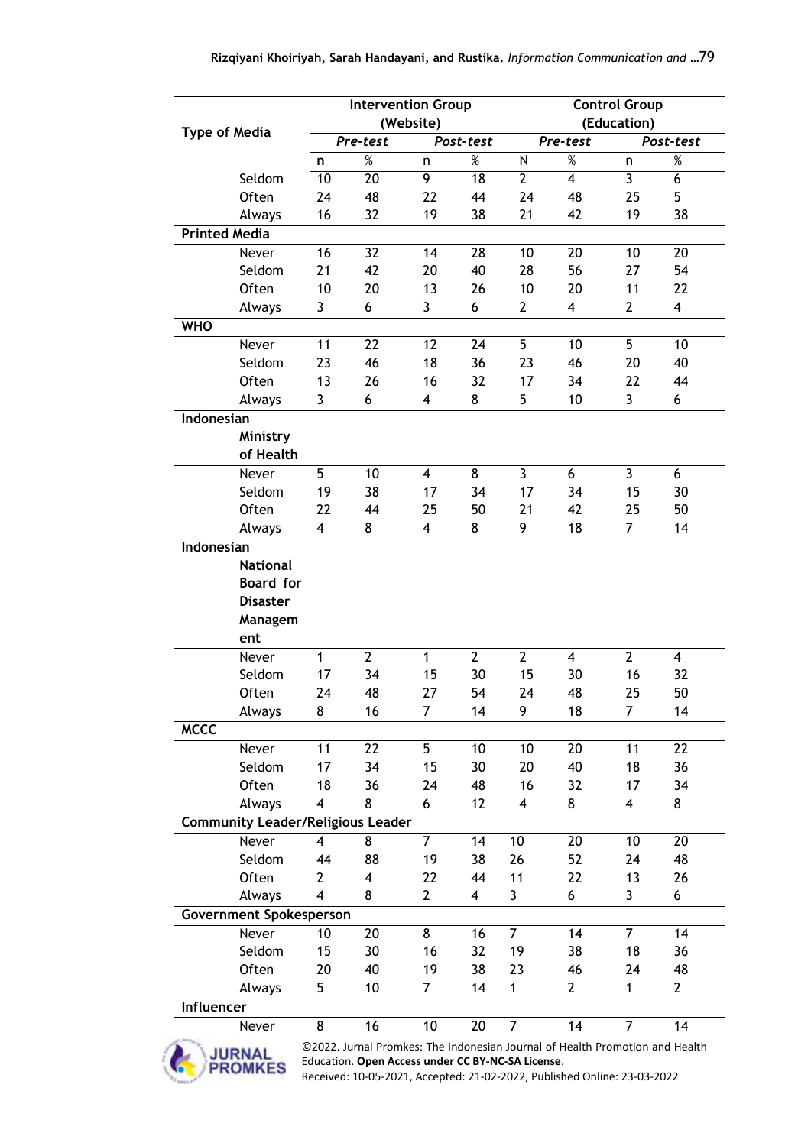|                      |                                          | <b>Intervention Group</b> |              |                |                 | <b>Control Group</b>    |                |                |                |  |
|----------------------|------------------------------------------|---------------------------|--------------|----------------|-----------------|-------------------------|----------------|----------------|----------------|--|
| <b>Type of Media</b> |                                          | (Website)                 |              |                |                 |                         | (Education)    |                |                |  |
|                      |                                          |                           | Pre-test     |                | Post-test       |                         | Pre-test       |                | Post-test      |  |
|                      |                                          | n                         | $\%$         | n              | %               | N                       | $\%$           | n              | $\%$           |  |
|                      | Seldom                                   | $\overline{10}$           | 20           | $\overline{9}$ | $\overline{18}$ | $\overline{2}$          | 4              | $\overline{3}$ | $\overline{6}$ |  |
|                      | Often                                    | 24                        | 48           | 22             | 44              | 24                      | 48             | 25             | 5              |  |
|                      | Always                                   | 16                        | 32           | 19             | 38              | 21                      | 42             | 19             | 38             |  |
| <b>Printed Media</b> |                                          |                           |              |                |                 |                         |                |                |                |  |
|                      | Never                                    | 16                        | 32           | 14             | 28              | 10                      | 20             | 10             | 20             |  |
|                      | Seldom                                   | 21                        | 42           | 20             | 40              | 28                      | 56             | 27             | 54             |  |
|                      | Often                                    | 10                        | 20           | 13             | 26              | 10                      | 20             | 11             | 22             |  |
|                      | Always                                   | 3                         | 6            | 3              | 6               | $\overline{2}$          | 4              | $\overline{2}$ | 4              |  |
| <b>WHO</b>           |                                          |                           |              |                |                 |                         |                |                |                |  |
|                      | Never                                    | 11                        | 22           | 12             | 24              | 5                       | 10             | 5              | 10             |  |
|                      | Seldom                                   | 23                        | 46           | 18             | 36              | 23                      | 46             | 20             | 40             |  |
|                      | Often                                    | 13                        | 26           | 16             | 32              | 17                      | 34             | 22             | 44             |  |
|                      | Always                                   | 3                         | 6            | 4              | 8               | 5                       | 10             | 3              | 6              |  |
| Indonesian           |                                          |                           |              |                |                 |                         |                |                |                |  |
|                      | Ministry                                 |                           |              |                |                 |                         |                |                |                |  |
|                      | of Health                                |                           |              |                |                 |                         |                |                |                |  |
|                      | Never                                    | 5                         | 10           | 4              | 8               | 3                       | 6              | 3              | 6              |  |
|                      | Seldom                                   | 19                        | 38           | 17             | 34              | 17                      | 34             | 15             | 30             |  |
|                      | Often                                    | 22                        | 44           | 25             | 50              | 21                      | 42             | 25             | 50             |  |
|                      | Always                                   | 4                         | 8            | 4              | 8               | 9                       | 18             | 7              | 14             |  |
| Indonesian           |                                          |                           |              |                |                 |                         |                |                |                |  |
|                      | <b>National</b>                          |                           |              |                |                 |                         |                |                |                |  |
|                      | <b>Board</b> for                         |                           |              |                |                 |                         |                |                |                |  |
|                      | <b>Disaster</b>                          |                           |              |                |                 |                         |                |                |                |  |
|                      | Managem                                  |                           |              |                |                 |                         |                |                |                |  |
|                      | ent                                      |                           |              |                |                 |                         |                |                |                |  |
|                      | Never                                    | 1                         | $\mathbf{2}$ | $\mathbf{1}$   | $\overline{2}$  | $\overline{2}$          | $\overline{4}$ | $\overline{2}$ | $\overline{4}$ |  |
|                      | Seldom                                   | 17                        | 34           | 15             | 30              | 15                      | 30             | 16             | 32             |  |
|                      | Often                                    | 24                        | 48           | 27             | 54              | 24                      | 48             | 25             | 50             |  |
|                      | Always                                   | 8                         | 16           | 7              | 14              | 9                       | 18             | 7              | 14             |  |
| <b>MCCC</b>          |                                          |                           |              |                |                 |                         |                |                |                |  |
|                      | Never                                    | 11                        | 22           | 5              | 10              | 10                      | 20             | 11             | 22             |  |
|                      | Seldom                                   | 17                        | 34           | 15             | 30              | 20                      | 40             | 18             | 36             |  |
|                      | Often                                    | 18                        | 36           | 24             | 48              | 16                      | 32             | 17             | 34             |  |
|                      | Always                                   | $\overline{\mathbf{4}}$   | 8            | 6              | 12              | $\overline{\mathbf{4}}$ | 8              | 4              | 8              |  |
|                      | <b>Community Leader/Religious Leader</b> |                           |              |                |                 |                         |                |                |                |  |
|                      | Never                                    | 4                         | 8            | $\overline{7}$ | 14              | 10                      | 20             | 10             | 20             |  |
|                      | Seldom                                   | 44                        | 88           | 19             | 38              | 26                      | 52             | 24             | 48             |  |
|                      | Often                                    | $\mathbf{2}$              | 4            | 22             | 44              | 11                      | 22             | 13             | 26             |  |
|                      | Always                                   | 4                         | 8            | $\overline{2}$ | 4               | 3                       | 6              | 3              | 6              |  |
|                      | <b>Government Spokesperson</b>           |                           |              |                |                 |                         |                |                |                |  |
|                      | Never                                    | 10                        | 20           | 8              | 16              | $\overline{7}$          | 14             | $\overline{7}$ | 14             |  |
|                      | Seldom                                   | 15                        | 30           | 16             | 32              | 19                      | 38             | 18             | 36             |  |
|                      | Often                                    | 20                        | 40           | 19             | 38              | 23                      | 46             | 24             | 48             |  |
|                      | Always                                   | 5                         | 10           | 7              | 14              | 1                       | $\overline{2}$ | $\mathbf{1}$   | $\overline{2}$ |  |
| Influencer           |                                          |                           |              |                |                 |                         |                |                |                |  |
|                      |                                          | 8                         | 16           | 10             | 20              | $\overline{7}$          | 14             | $\overline{7}$ | 14             |  |
|                      | Never                                    | രാറാ                      | میں ا        | エト             |                 |                         | طة ادما        |                |                |  |



©2022. Jurnal Promkes: The Indonesian Journal of Health Promotion and Health Education. **Open Access under CC BY-NC-SA License**.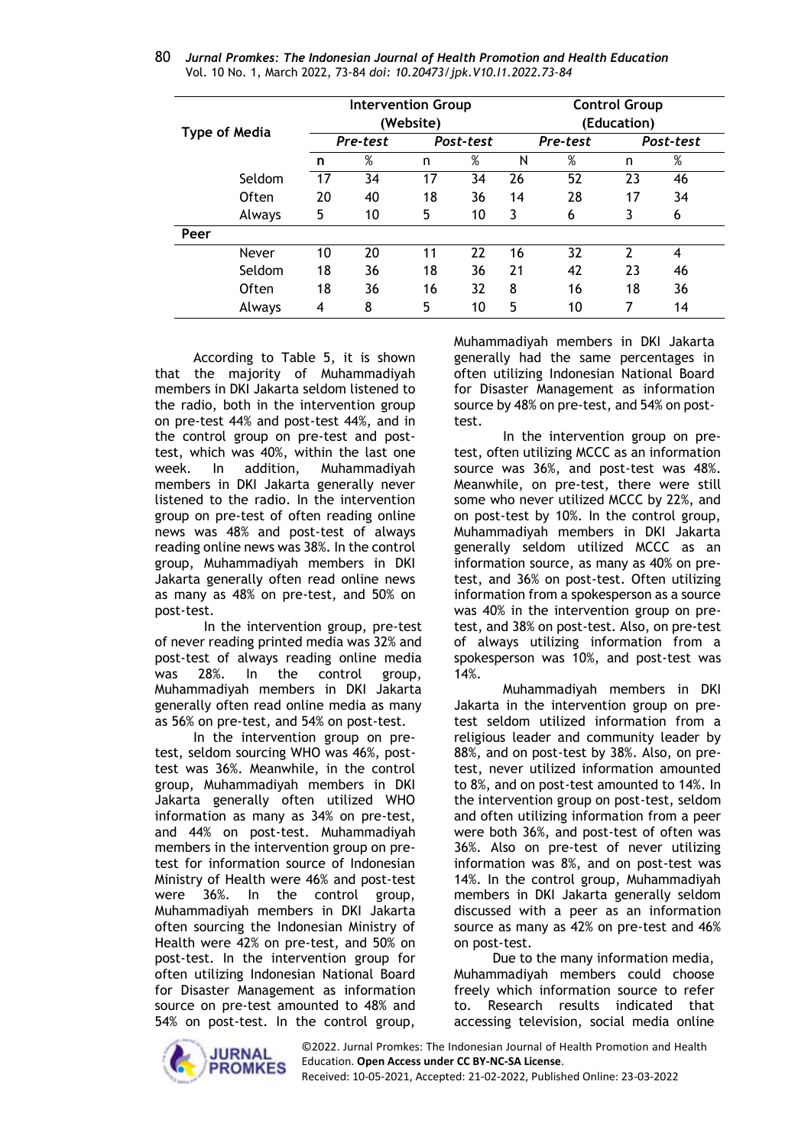| <b>Type of Media</b> |        |    | <b>Intervention Group</b><br>(Website) |           |    |    | <b>Control Group</b><br>(Education) |    |           |  |
|----------------------|--------|----|----------------------------------------|-----------|----|----|-------------------------------------|----|-----------|--|
|                      |        |    | Pre-test                               | Post-test |    |    | Pre-test                            |    | Post-test |  |
|                      |        | n  | %                                      | n         | %  | Ν  | $\%$                                | n  | $\%$      |  |
|                      | Seldom | 17 | 34                                     | 17        | 34 | 26 | 52                                  | 23 | 46        |  |
|                      | Often  | 20 | 40                                     | 18        | 36 | 14 | 28                                  | 17 | 34        |  |
|                      | Always | 5  | 10                                     | 5         | 10 | 3  | 6                                   | 3  | 6         |  |
| Peer                 |        |    |                                        |           |    |    |                                     |    |           |  |
|                      | Never  | 10 | 20                                     | 11        | 22 | 16 | 32                                  | 2  | 4         |  |
|                      | Seldom | 18 | 36                                     | 18        | 36 | 21 | 42                                  | 23 | 46        |  |
|                      | Often  | 18 | 36                                     | 16        | 32 | 8  | 16                                  | 18 | 36        |  |
|                      | Always | 4  | 8                                      | 5         | 10 | 5  | 10                                  | 7  | 14        |  |

80 *Jurnal Promkes: The Indonesian Journal of Health Promotion and Health Education* Vol. 10 No. 1, March 2022, 73-84 *doi: 10.20473/jpk.V10.I1.2022.73-84*

According to Table 5, it is shown that the majority of Muhammadiyah members in DKI Jakarta seldom listened to the radio, both in the intervention group on pre-test 44% and post-test 44%, and in the control group on pre-test and posttest, which was 40%, within the last one week. In addition, Muhammadiyah members in DKI Jakarta generally never listened to the radio. In the intervention group on pre-test of often reading online news was 48% and post-test of always reading online news was 38%. In the control group, Muhammadiyah members in DKI Jakarta generally often read online news as many as 48% on pre-test, and 50% on post-test.

In the intervention group, pre-test of never reading printed media was 32% and post-test of always reading online media was 28%. In the control group, Muhammadiyah members in DKI Jakarta generally often read online media as many as 56% on pre-test, and 54% on post-test.

In the intervention group on pretest, seldom sourcing WHO was 46%, posttest was 36%. Meanwhile, in the control group, Muhammadiyah members in DKI Jakarta generally often utilized WHO information as many as 34% on pre-test, and 44% on post-test. Muhammadiyah members in the intervention group on pretest for information source of Indonesian Ministry of Health were 46% and post-test were 36%. In the control group, Muhammadiyah members in DKI Jakarta often sourcing the Indonesian Ministry of Health were 42% on pre-test, and 50% on post-test. In the intervention group for often utilizing Indonesian National Board for Disaster Management as information source on pre-test amounted to 48% and 54% on post-test. In the control group,

Muhammadiyah members in DKI Jakarta generally had the same percentages in often utilizing Indonesian National Board for Disaster Management as information source by 48% on pre-test, and 54% on posttest.

In the intervention group on pretest, often utilizing MCCC as an information source was 36%, and post-test was 48%. Meanwhile, on pre-test, there were still some who never utilized MCCC by 22%, and on post-test by 10%. In the control group, Muhammadiyah members in DKI Jakarta generally seldom utilized MCCC as an information source, as many as 40% on pretest, and 36% on post-test. Often utilizing information from a spokesperson as a source was 40% in the intervention group on pretest, and 38% on post-test. Also, on pre-test of always utilizing information from a spokesperson was 10%, and post-test was 14%.

Muhammadiyah members in DKI Jakarta in the intervention group on pretest seldom utilized information from a religious leader and community leader by 88%, and on post-test by 38%. Also, on pretest, never utilized information amounted to 8%, and on post-test amounted to 14%. In the intervention group on post-test, seldom and often utilizing information from a peer were both 36%, and post-test of often was 36%. Also on pre-test of never utilizing information was 8%, and on post-test was 14%. In the control group, Muhammadiyah members in DKI Jakarta generally seldom discussed with a peer as an information source as many as 42% on pre-test and 46% on post-test.

Due to the many information media, Muhammadiyah members could choose freely which information source to refer to. Research results indicated that accessing television, social media online

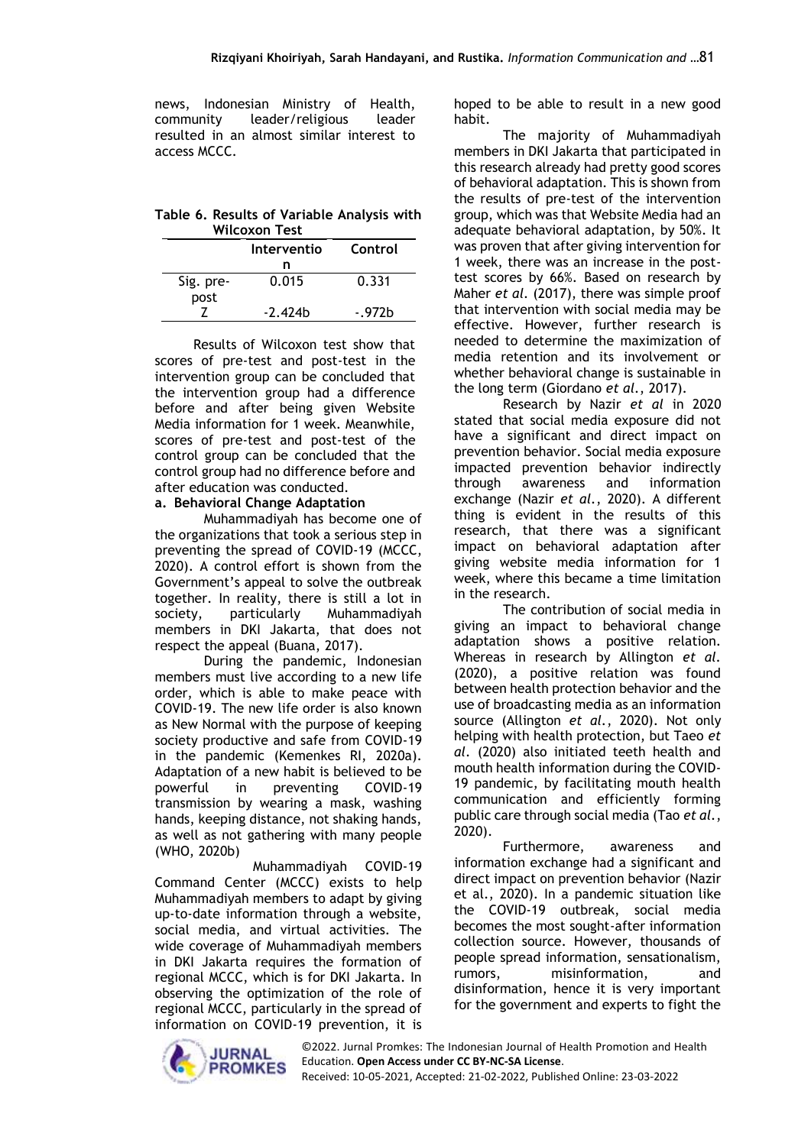news, Indonesian Ministry of Health, community leader/religious leader resulted in an almost similar interest to access MCCC.

**Table 6. Results of Variable Analysis with Wilcoxon Test**

|                   | Interventio | Control |
|-------------------|-------------|---------|
|                   | n           |         |
| Sig. pre-<br>post | 0.015       | 0.331   |
|                   | $-2.424b$   | -.972h  |

Results of Wilcoxon test show that scores of pre-test and post-test in the intervention group can be concluded that the intervention group had a difference before and after being given Website Media information for 1 week. Meanwhile, scores of pre-test and post-test of the control group can be concluded that the control group had no difference before and after education was conducted.

### **a. Behavioral Change Adaptation**

Muhammadiyah has become one of the organizations that took a serious step in preventing the spread of COVID-19 (MCCC, 2020). A control effort is shown from the Government's appeal to solve the outbreak together. In reality, there is still a lot in society, particularly Muhammadiyah members in DKI Jakarta, that does not respect the appeal (Buana, 2017).

During the pandemic, Indonesian members must live according to a new life order, which is able to make peace with COVID-19. The new life order is also known as New Normal with the purpose of keeping society productive and safe from COVID-19 in the pandemic (Kemenkes RI, 2020a). Adaptation of a new habit is believed to be powerful in preventing COVID-19 transmission by wearing a mask, washing hands, keeping distance, not shaking hands, as well as not gathering with many people (WHO, 2020b)

Muhammadiyah COVID-19 Command Center (MCCC) exists to help Muhammadiyah members to adapt by giving up-to-date information through a website, social media, and virtual activities. The wide coverage of Muhammadiyah members in DKI Jakarta requires the formation of regional MCCC, which is for DKI Jakarta. In observing the optimization of the role of regional MCCC, particularly in the spread of information on COVID-19 prevention, it is hoped to be able to result in a new good habit.

The majority of Muhammadiyah members in DKI Jakarta that participated in this research already had pretty good scores of behavioral adaptation. This is shown from the results of pre-test of the intervention group, which was that Website Media had an adequate behavioral adaptation, by 50%. It was proven that after giving intervention for 1 week, there was an increase in the posttest scores by 66%. Based on research by Maher *et al.* (2017), there was simple proof that intervention with social media may be effective. However, further research is needed to determine the maximization of media retention and its involvement or whether behavioral change is sustainable in the long term (Giordano *et al.*, 2017).

Research by Nazir *et al* in 2020 stated that social media exposure did not have a significant and direct impact on prevention behavior. Social media exposure impacted prevention behavior indirectly through awareness and information exchange (Nazir *et al.*, 2020). A different thing is evident in the results of this research, that there was a significant impact on behavioral adaptation after giving website media information for 1 week, where this became a time limitation in the research.

The contribution of social media in giving an impact to behavioral change adaptation shows a positive relation. Whereas in research by Allington *et al.*  (2020), a positive relation was found between health protection behavior and the use of broadcasting media as an information source (Allington *et al.*, 2020). Not only helping with health protection, but Taeo *et al*. (2020) also initiated teeth health and mouth health information during the COVID-19 pandemic, by facilitating mouth health communication and efficiently forming public care through social media (Tao *et al.*, 2020).

Furthermore, awareness and information exchange had a significant and direct impact on prevention behavior (Nazir et al., 2020). In a pandemic situation like the COVID-19 outbreak, social media becomes the most sought-after information collection source. However, thousands of people spread information, sensationalism, rumors, misinformation, and disinformation, hence it is very important for the government and experts to fight the

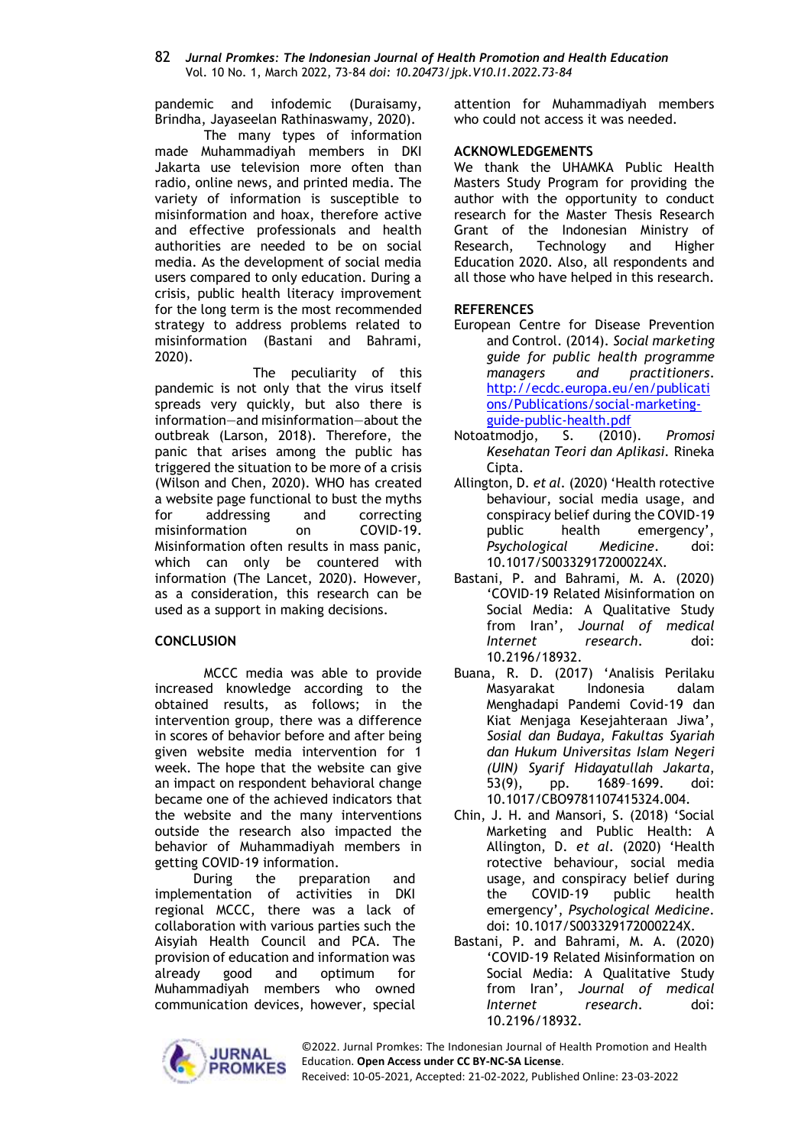pandemic and infodemic (Duraisamy, Brindha, Jayaseelan Rathinaswamy, 2020).

The many types of information made Muhammadiyah members in DKI Jakarta use television more often than radio, online news, and printed media. The variety of information is susceptible to misinformation and hoax, therefore active and effective professionals and health authorities are needed to be on social media. As the development of social media users compared to only education. During a crisis, public health literacy improvement for the long term is the most recommended strategy to address problems related to misinformation (Bastani and Bahrami, 2020).

The peculiarity of this pandemic is not only that the virus itself spreads very quickly, but also there is information—and misinformation—about the outbreak (Larson, 2018). Therefore, the panic that arises among the public has triggered the situation to be more of a crisis (Wilson and Chen, 2020). WHO has created a website page functional to bust the myths for addressing and correcting misinformation on COVID-19. Misinformation often results in mass panic, which can only be countered with information (The Lancet, 2020). However, as a consideration, this research can be used as a support in making decisions.

### **CONCLUSION**

MCCC media was able to provide increased knowledge according to the obtained results, as follows; in the intervention group, there was a difference in scores of behavior before and after being given website media intervention for 1 week. The hope that the website can give an impact on respondent behavioral change became one of the achieved indicators that the website and the many interventions outside the research also impacted the behavior of Muhammadiyah members in getting COVID-19 information.

During the preparation and implementation of activities in DKI regional MCCC, there was a lack of collaboration with various parties such the Aisyiah Health Council and PCA. The provision of education and information was already good and optimum for Muhammadiyah members who owned communication devices, however, special

attention for Muhammadiyah members who could not access it was needed.

### **ACKNOWLEDGEMENTS**

We thank the UHAMKA Public Health Masters Study Program for providing the author with the opportunity to conduct research for the Master Thesis Research Grant of the Indonesian Ministry of Research, Technology and Higher Education 2020. Also, all respondents and all those who have helped in this research.

## **REFERENCES**

- European Centre for Disease Prevention and Control. (2014). *Social marketing guide for public health programme managers and practitioners*. [http://ecdc.europa.eu/en/publicati](http://ecdc.europa.eu/en/publications/Publications/social-marketing-guide-public-health.pdf) [ons/Publications/social-marketing](http://ecdc.europa.eu/en/publications/Publications/social-marketing-guide-public-health.pdf)[guide-public-health.pdf](http://ecdc.europa.eu/en/publications/Publications/social-marketing-guide-public-health.pdf)
- Notoatmodjo, S. (2010). *Promosi Kesehatan Teori dan Aplikasi.* Rineka Cipta.
- Allington, D. *et al.* (2020) 'Health rotective behaviour, social media usage, and conspiracy belief during the COVID-19 public health emergency', *Psychological Medicine*. doi: 10.1017/S003329172000224X.
- Bastani, P. and Bahrami, M. A. (2020) 'COVID-19 Related Misinformation on Social Media: A Qualitative Study from Iran', *Journal of medical Internet research*. doi: 10.2196/18932.
- Buana, R. D. (2017) 'Analisis Perilaku Masyarakat Indonesia dalam Menghadapi Pandemi Covid-19 dan Kiat Menjaga Kesejahteraan Jiwa', *Sosial dan Budaya, Fakultas Syariah dan Hukum Universitas Islam Negeri (UIN) Syarif Hidayatullah Jakarta*, 53(9), pp. 1689–1699. doi: 10.1017/CBO9781107415324.004.
- Chin, J. H. and Mansori, S. (2018) 'Social Marketing and Public Health: A Allington, D. *et al.* (2020) 'Health rotective behaviour, social media usage, and conspiracy belief during the COVID-19 public health emergency', *Psychological Medicine*. doi: 10.1017/S003329172000224X.
- Bastani, P. and Bahrami, M. A. (2020) 'COVID-19 Related Misinformation on Social Media: A Qualitative Study from Iran', *Journal of medical Internet research*. doi: 10.2196/18932.



©2022. Jurnal Promkes: The Indonesian Journal of Health Promotion and Health Education. **Open Access under CC BY-NC-SA License**.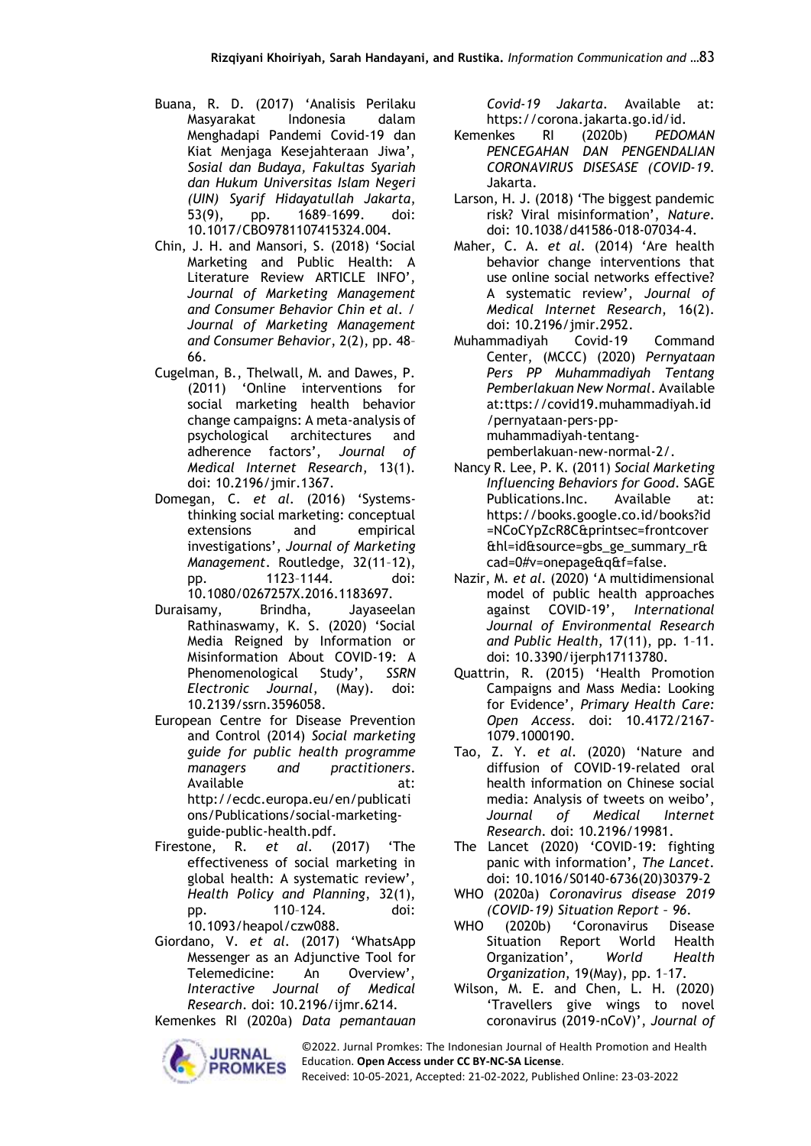- Buana, R. D. (2017) 'Analisis Perilaku Masyarakat Indonesia dalam Menghadapi Pandemi Covid-19 dan Kiat Menjaga Kesejahteraan Jiwa', *Sosial dan Budaya, Fakultas Syariah dan Hukum Universitas Islam Negeri (UIN) Syarif Hidayatullah Jakarta*, 53(9), pp. 1689–1699. doi: 10.1017/CBO9781107415324.004.
- Chin, J. H. and Mansori, S. (2018) 'Social Marketing and Public Health: A Literature Review ARTICLE INFO', *Journal of Marketing Management and Consumer Behavior Chin et al. / Journal of Marketing Management and Consumer Behavior*, 2(2), pp. 48– 66.
- Cugelman, B., Thelwall, M. and Dawes, P. (2011) 'Online interventions for social marketing health behavior change campaigns: A meta-analysis of psychological architectures and adherence factors', *Journal of Medical Internet Research*, 13(1). doi: 10.2196/jmir.1367.
- Domegan, C. *et al.* (2016) 'Systemsthinking social marketing: conceptual extensions and empirical investigations', *Journal of Marketing Management*. Routledge, 32(11–12), pp. 1123–1144. doi: 10.1080/0267257X.2016.1183697.
- Duraisamy, Brindha, Jayaseelan Rathinaswamy, K. S. (2020) 'Social Media Reigned by Information or Misinformation About COVID-19: A Phenomenological Study', *SSRN Electronic Journal*, (May). doi: 10.2139/ssrn.3596058.
- European Centre for Disease Prevention and Control (2014) *Social marketing guide for public health programme managers and practitioners*. Available at: http://ecdc.europa.eu/en/publicati ons/Publications/social-marketingguide-public-health.pdf.
- Firestone, R. *et al.* (2017) 'The effectiveness of social marketing in global health: A systematic review', *Health Policy and Planning*, 32(1), pp. 110–124. doi: 10.1093/heapol/czw088.
- Giordano, V. *et al.* (2017) 'WhatsApp Messenger as an Adjunctive Tool for Telemedicine: An Overview', *Interactive Journal of Medical Research*. doi: 10.2196/ijmr.6214.

Kemenkes RI (2020a) *Data pemantauan* 



*Covid-19 Jakarta*. Available at: https://corona.jakarta.go.id/id.

- Kemenkes RI (2020b) *PEDOMAN PENCEGAHAN DAN PENGENDALIAN CORONAVIRUS DISESASE (COVID-19*. Jakarta.
- Larson, H. J. (2018) 'The biggest pandemic risk? Viral misinformation', *Nature*. doi: 10.1038/d41586-018-07034-4.
- Maher, C. A. *et al.* (2014) 'Are health behavior change interventions that use online social networks effective? A systematic review', *Journal of Medical Internet Research*, 16(2). doi: 10.2196/jmir.2952.
- Muhammadiyah Covid-19 Command Center, (MCCC) (2020) *Pernyataan Pers PP Muhammadiyah Tentang Pemberlakuan New Normal*. Available at:ttps://covid19.muhammadiyah.id /pernyataan-pers-ppmuhammadiyah-tentangpemberlakuan-new-normal-2/.
- Nancy R. Lee, P. K. (2011) *Social Marketing Influencing Behaviors for Good*. SAGE Publications.Inc. Available at: https://books.google.co.id/books?id =NCoCYpZcR8C&printsec=frontcover &hl=id&source=gbs\_ge\_summary\_r& cad=0#v=onepage&q&f=false.
- Nazir, M. *et al.* (2020) 'A multidimensional model of public health approaches against COVID-19', *International Journal of Environmental Research and Public Health*, 17(11), pp. 1–11. doi: 10.3390/ijerph17113780.
- Quattrin, R. (2015) 'Health Promotion Campaigns and Mass Media: Looking for Evidence', *Primary Health Care: Open Access*. doi: 10.4172/2167- 1079.1000190.
- Tao, Z. Y. *et al.* (2020) 'Nature and diffusion of COVID-19-related oral health information on Chinese social media: Analysis of tweets on weibo', *Journal of Medical Internet Research*. doi: 10.2196/19981.
- The Lancet (2020) 'COVID-19: fighting panic with information', *The Lancet*. doi: 10.1016/S0140-6736(20)30379-2
- WHO (2020a) *Coronavirus disease 2019 (COVID-19) Situation Report – 96*.
- WHO (2020b) 'Coronavirus Disease Situation Report World Health Organization', *World Health Organization*, 19(May), pp. 1–17.
- Wilson, M. E. and Chen, L. H. (2020) 'Travellers give wings to novel coronavirus (2019-nCoV)', *Journal of*